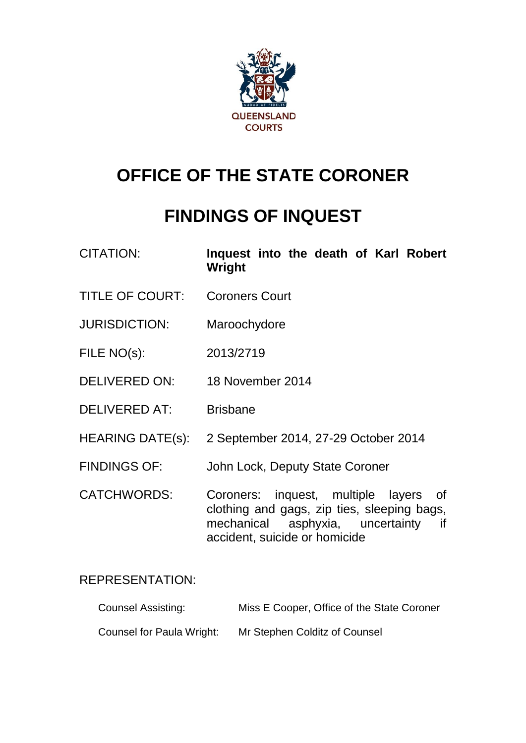

# **OFFICE OF THE STATE CORONER**

# **FINDINGS OF INQUEST**

- CITATION: **Inquest into the death of Karl Robert Wright**
- TITLE OF COURT: Coroners Court
- JURISDICTION: Maroochydore
- FILE NO(s): 2013/2719
- DELIVERED ON: 18 November 2014
- DELIVERED AT: Brisbane
- HEARING DATE(s): 2 September 2014, 27-29 October 2014
- FINDINGS OF: John Lock, Deputy State Coroner
- CATCHWORDS: Coroners: inquest, multiple layers of clothing and gags, zip ties, sleeping bags, mechanical asphyxia, uncertainty if accident, suicide or homicide

# REPRESENTATION:

| <b>Counsel Assisting:</b> | Miss E Cooper, Office of the State Coroner |
|---------------------------|--------------------------------------------|
| Counsel for Paula Wright: | Mr Stephen Colditz of Counsel              |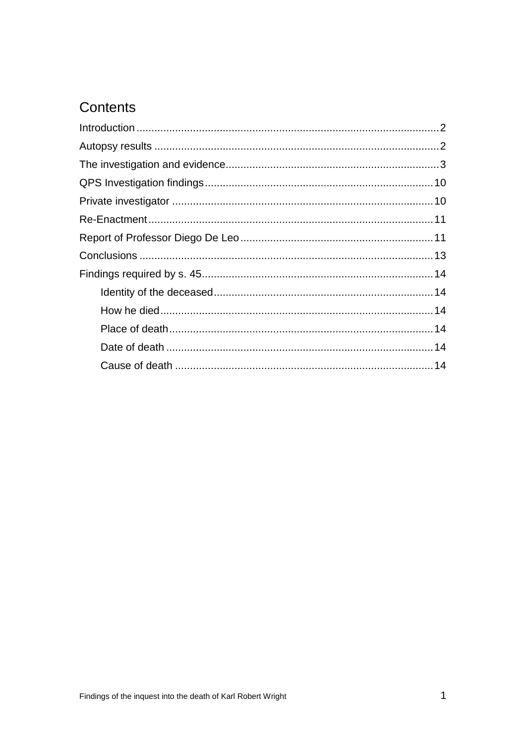# Contents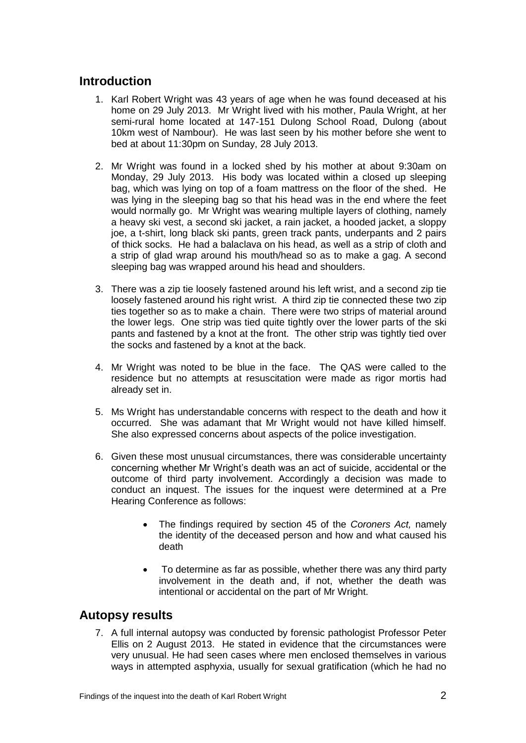## <span id="page-2-0"></span>**Introduction**

- 1. Karl Robert Wright was 43 years of age when he was found deceased at his home on 29 July 2013. Mr Wright lived with his mother, Paula Wright, at her semi-rural home located at 147-151 Dulong School Road, Dulong (about 10km west of Nambour). He was last seen by his mother before she went to bed at about 11:30pm on Sunday, 28 July 2013.
- 2. Mr Wright was found in a locked shed by his mother at about 9:30am on Monday, 29 July 2013. His body was located within a closed up sleeping bag, which was lying on top of a foam mattress on the floor of the shed. He was lying in the sleeping bag so that his head was in the end where the feet would normally go. Mr Wright was wearing multiple layers of clothing, namely a heavy ski vest, a second ski jacket, a rain jacket, a hooded jacket, a sloppy joe, a t-shirt, long black ski pants, green track pants, underpants and 2 pairs of thick socks. He had a balaclava on his head, as well as a strip of cloth and a strip of glad wrap around his mouth/head so as to make a gag. A second sleeping bag was wrapped around his head and shoulders.
- 3. There was a zip tie loosely fastened around his left wrist, and a second zip tie loosely fastened around his right wrist. A third zip tie connected these two zip ties together so as to make a chain. There were two strips of material around the lower legs. One strip was tied quite tightly over the lower parts of the ski pants and fastened by a knot at the front. The other strip was tightly tied over the socks and fastened by a knot at the back.
- 4. Mr Wright was noted to be blue in the face. The QAS were called to the residence but no attempts at resuscitation were made as rigor mortis had already set in.
- 5. Ms Wright has understandable concerns with respect to the death and how it occurred. She was adamant that Mr Wright would not have killed himself. She also expressed concerns about aspects of the police investigation.
- 6. Given these most unusual circumstances, there was considerable uncertainty concerning whether Mr Wright's death was an act of suicide, accidental or the outcome of third party involvement. Accordingly a decision was made to conduct an inquest. The issues for the inquest were determined at a Pre Hearing Conference as follows:
	- The findings required by section 45 of the *Coroners Act,* namely the identity of the deceased person and how and what caused his death
	- To determine as far as possible, whether there was any third party involvement in the death and, if not, whether the death was intentional or accidental on the part of Mr Wright.

### <span id="page-2-1"></span>**Autopsy results**

7. A full internal autopsy was conducted by forensic pathologist Professor Peter Ellis on 2 August 2013. He stated in evidence that the circumstances were very unusual. He had seen cases where men enclosed themselves in various ways in attempted asphyxia, usually for sexual gratification (which he had no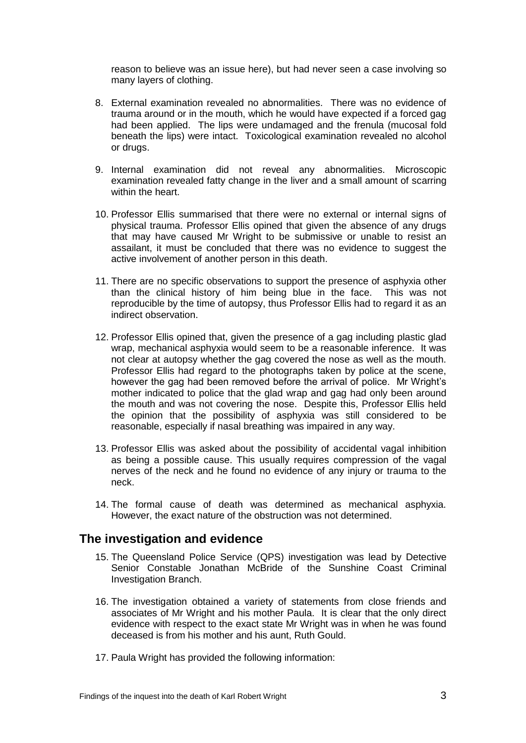reason to believe was an issue here), but had never seen a case involving so many layers of clothing.

- 8. External examination revealed no abnormalities. There was no evidence of trauma around or in the mouth, which he would have expected if a forced gag had been applied. The lips were undamaged and the frenula (mucosal fold beneath the lips) were intact. Toxicological examination revealed no alcohol or drugs.
- 9. Internal examination did not reveal any abnormalities. Microscopic examination revealed fatty change in the liver and a small amount of scarring within the heart.
- 10. Professor Ellis summarised that there were no external or internal signs of physical trauma. Professor Ellis opined that given the absence of any drugs that may have caused Mr Wright to be submissive or unable to resist an assailant, it must be concluded that there was no evidence to suggest the active involvement of another person in this death.
- 11. There are no specific observations to support the presence of asphyxia other than the clinical history of him being blue in the face. This was not reproducible by the time of autopsy, thus Professor Ellis had to regard it as an indirect observation.
- 12. Professor Ellis opined that, given the presence of a gag including plastic glad wrap, mechanical asphyxia would seem to be a reasonable inference. It was not clear at autopsy whether the gag covered the nose as well as the mouth. Professor Ellis had regard to the photographs taken by police at the scene, however the gag had been removed before the arrival of police. Mr Wright's mother indicated to police that the glad wrap and gag had only been around the mouth and was not covering the nose. Despite this, Professor Ellis held the opinion that the possibility of asphyxia was still considered to be reasonable, especially if nasal breathing was impaired in any way.
- 13. Professor Ellis was asked about the possibility of accidental vagal inhibition as being a possible cause. This usually requires compression of the vagal nerves of the neck and he found no evidence of any injury or trauma to the neck.
- 14. The formal cause of death was determined as mechanical asphyxia. However, the exact nature of the obstruction was not determined.

#### <span id="page-3-0"></span>**The investigation and evidence**

- 15. The Queensland Police Service (QPS) investigation was lead by Detective Senior Constable Jonathan McBride of the Sunshine Coast Criminal Investigation Branch.
- 16. The investigation obtained a variety of statements from close friends and associates of Mr Wright and his mother Paula. It is clear that the only direct evidence with respect to the exact state Mr Wright was in when he was found deceased is from his mother and his aunt, Ruth Gould.
- 17. Paula Wright has provided the following information: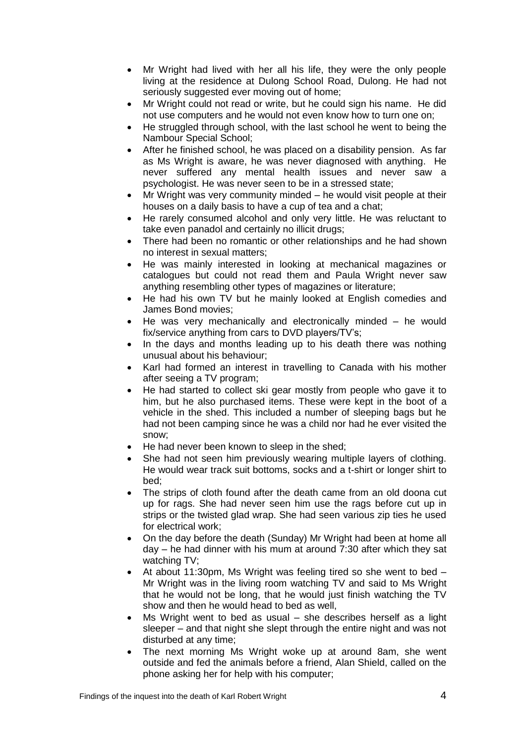- Mr Wright had lived with her all his life, they were the only people living at the residence at Dulong School Road, Dulong. He had not seriously suggested ever moving out of home;
- Mr Wright could not read or write, but he could sign his name. He did not use computers and he would not even know how to turn one on;
- He struggled through school, with the last school he went to being the Nambour Special School;
- After he finished school, he was placed on a disability pension. As far as Ms Wright is aware, he was never diagnosed with anything. He never suffered any mental health issues and never saw a psychologist. He was never seen to be in a stressed state;
- Mr Wright was very community minded he would visit people at their houses on a daily basis to have a cup of tea and a chat;
- He rarely consumed alcohol and only very little. He was reluctant to take even panadol and certainly no illicit drugs;
- There had been no romantic or other relationships and he had shown no interest in sexual matters;
- He was mainly interested in looking at mechanical magazines or catalogues but could not read them and Paula Wright never saw anything resembling other types of magazines or literature;
- He had his own TV but he mainly looked at English comedies and James Bond movies;
- He was very mechanically and electronically minded he would fix/service anything from cars to DVD players/TV's;
- In the days and months leading up to his death there was nothing unusual about his behaviour;
- Karl had formed an interest in travelling to Canada with his mother after seeing a TV program;
- He had started to collect ski gear mostly from people who gave it to him, but he also purchased items. These were kept in the boot of a vehicle in the shed. This included a number of sleeping bags but he had not been camping since he was a child nor had he ever visited the snow;
- He had never been known to sleep in the shed;
- She had not seen him previously wearing multiple layers of clothing. He would wear track suit bottoms, socks and a t-shirt or longer shirt to bed;
- The strips of cloth found after the death came from an old doona cut up for rags. She had never seen him use the rags before cut up in strips or the twisted glad wrap. She had seen various zip ties he used for electrical work;
- On the day before the death (Sunday) Mr Wright had been at home all day – he had dinner with his mum at around 7:30 after which they sat watching TV;
- At about 11:30pm, Ms Wright was feeling tired so she went to bed Mr Wright was in the living room watching TV and said to Ms Wright that he would not be long, that he would just finish watching the TV show and then he would head to bed as well,
- Ms Wright went to bed as usual she describes herself as a light sleeper – and that night she slept through the entire night and was not disturbed at any time;
- The next morning Ms Wright woke up at around 8am, she went outside and fed the animals before a friend, Alan Shield, called on the phone asking her for help with his computer;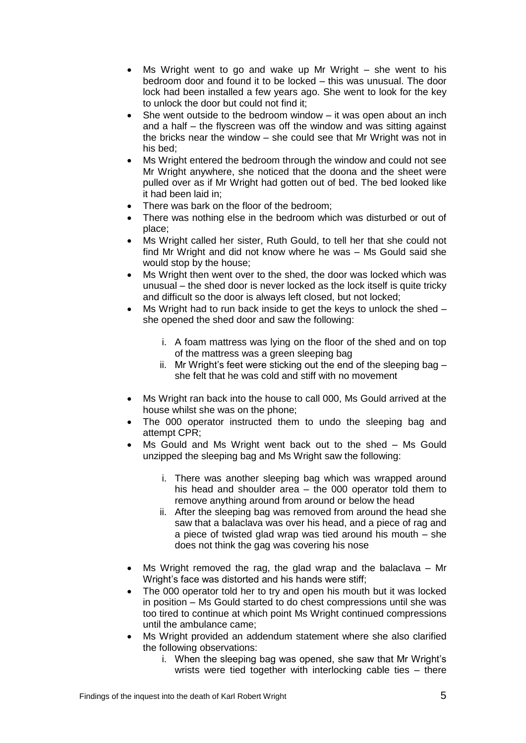- Ms Wright went to go and wake up Mr Wright she went to his bedroom door and found it to be locked – this was unusual. The door lock had been installed a few years ago. She went to look for the key to unlock the door but could not find it;
- She went outside to the bedroom window it was open about an inch and a half – the flyscreen was off the window and was sitting against the bricks near the window – she could see that Mr Wright was not in his bed;
- Ms Wright entered the bedroom through the window and could not see Mr Wright anywhere, she noticed that the doona and the sheet were pulled over as if Mr Wright had gotten out of bed. The bed looked like it had been laid in;
- There was bark on the floor of the bedroom;
- There was nothing else in the bedroom which was disturbed or out of place;
- Ms Wright called her sister, Ruth Gould, to tell her that she could not find Mr Wright and did not know where he was – Ms Gould said she would stop by the house;
- Ms Wright then went over to the shed, the door was locked which was unusual – the shed door is never locked as the lock itself is quite tricky and difficult so the door is always left closed, but not locked;
- Ms Wright had to run back inside to get the keys to unlock the shed she opened the shed door and saw the following:
	- i. A foam mattress was lying on the floor of the shed and on top of the mattress was a green sleeping bag
	- ii. Mr Wright's feet were sticking out the end of the sleeping bag she felt that he was cold and stiff with no movement
- Ms Wright ran back into the house to call 000, Ms Gould arrived at the house whilst she was on the phone;
- The 000 operator instructed them to undo the sleeping bag and attempt CPR;
- Ms Gould and Ms Wright went back out to the shed Ms Gould unzipped the sleeping bag and Ms Wright saw the following:
	- i. There was another sleeping bag which was wrapped around his head and shoulder area – the 000 operator told them to remove anything around from around or below the head
	- ii. After the sleeping bag was removed from around the head she saw that a balaclava was over his head, and a piece of rag and a piece of twisted glad wrap was tied around his mouth – she does not think the gag was covering his nose
- Ms Wright removed the rag, the glad wrap and the balaclava Mr Wright's face was distorted and his hands were stiff;
- The 000 operator told her to try and open his mouth but it was locked in position – Ms Gould started to do chest compressions until she was too tired to continue at which point Ms Wright continued compressions until the ambulance came;
- Ms Wright provided an addendum statement where she also clarified the following observations:
	- i. When the sleeping bag was opened, she saw that Mr Wright's wrists were tied together with interlocking cable ties – there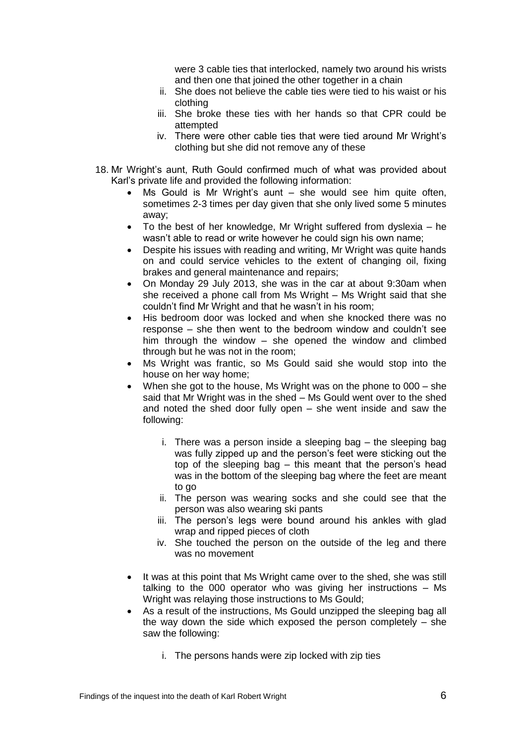were 3 cable ties that interlocked, namely two around his wrists and then one that joined the other together in a chain

- ii. She does not believe the cable ties were tied to his waist or his clothing
- iii. She broke these ties with her hands so that CPR could be attempted
- iv. There were other cable ties that were tied around Mr Wright's clothing but she did not remove any of these
- 18. Mr Wright's aunt, Ruth Gould confirmed much of what was provided about Karl's private life and provided the following information:
	- Ms Gould is Mr Wright's aunt she would see him quite often, sometimes 2-3 times per day given that she only lived some 5 minutes away;
	- To the best of her knowledge, Mr Wright suffered from dyslexia he wasn't able to read or write however he could sign his own name;
	- Despite his issues with reading and writing, Mr Wright was quite hands on and could service vehicles to the extent of changing oil, fixing brakes and general maintenance and repairs;
	- On Monday 29 July 2013, she was in the car at about 9:30am when she received a phone call from Ms Wright – Ms Wright said that she couldn't find Mr Wright and that he wasn't in his room;
	- His bedroom door was locked and when she knocked there was no response – she then went to the bedroom window and couldn't see him through the window – she opened the window and climbed through but he was not in the room;
	- Ms Wright was frantic, so Ms Gould said she would stop into the house on her way home;
	- When she got to the house, Ms Wright was on the phone to 000 she said that Mr Wright was in the shed – Ms Gould went over to the shed and noted the shed door fully open – she went inside and saw the following:
		- i. There was a person inside a sleeping bag the sleeping bag was fully zipped up and the person's feet were sticking out the top of the sleeping bag – this meant that the person's head was in the bottom of the sleeping bag where the feet are meant to go
		- ii. The person was wearing socks and she could see that the person was also wearing ski pants
		- iii. The person's legs were bound around his ankles with glad wrap and ripped pieces of cloth
		- iv. She touched the person on the outside of the leg and there was no movement
	- It was at this point that Ms Wright came over to the shed, she was still talking to the 000 operator who was giving her instructions – Ms Wright was relaying those instructions to Ms Gould;
	- As a result of the instructions, Ms Gould unzipped the sleeping bag all the way down the side which exposed the person completely – she saw the following:
		- i. The persons hands were zip locked with zip ties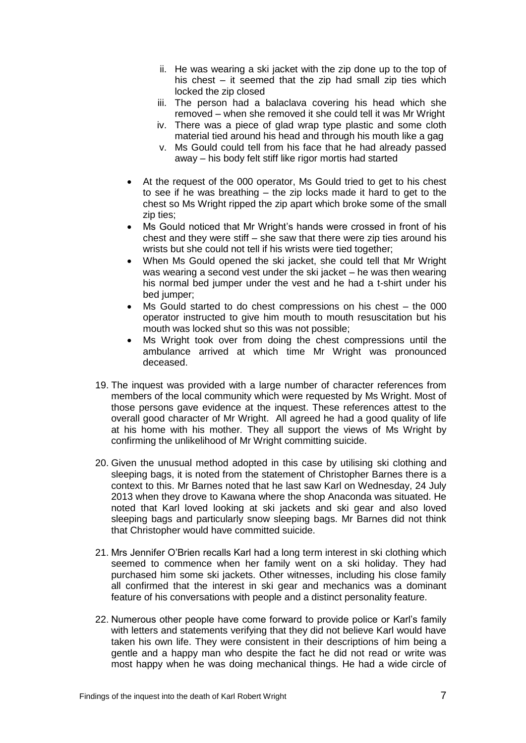- ii. He was wearing a ski jacket with the zip done up to the top of his chest – it seemed that the zip had small zip ties which locked the zip closed
- iii. The person had a balaclava covering his head which she removed – when she removed it she could tell it was Mr Wright
- iv. There was a piece of glad wrap type plastic and some cloth material tied around his head and through his mouth like a gag
- v. Ms Gould could tell from his face that he had already passed away – his body felt stiff like rigor mortis had started
- At the request of the 000 operator. Ms Gould tried to get to his chest to see if he was breathing – the zip locks made it hard to get to the chest so Ms Wright ripped the zip apart which broke some of the small zip ties;
- Ms Gould noticed that Mr Wright's hands were crossed in front of his chest and they were stiff – she saw that there were zip ties around his wrists but she could not tell if his wrists were tied together;
- When Ms Gould opened the ski jacket, she could tell that Mr Wright was wearing a second vest under the ski jacket – he was then wearing his normal bed jumper under the vest and he had a t-shirt under his bed jumper;
- Ms Gould started to do chest compressions on his chest the 000 operator instructed to give him mouth to mouth resuscitation but his mouth was locked shut so this was not possible;
- Ms Wright took over from doing the chest compressions until the ambulance arrived at which time Mr Wright was pronounced deceased.
- 19. The inquest was provided with a large number of character references from members of the local community which were requested by Ms Wright. Most of those persons gave evidence at the inquest. These references attest to the overall good character of Mr Wright. All agreed he had a good quality of life at his home with his mother. They all support the views of Ms Wright by confirming the unlikelihood of Mr Wright committing suicide.
- 20. Given the unusual method adopted in this case by utilising ski clothing and sleeping bags, it is noted from the statement of Christopher Barnes there is a context to this. Mr Barnes noted that he last saw Karl on Wednesday, 24 July 2013 when they drove to Kawana where the shop Anaconda was situated. He noted that Karl loved looking at ski jackets and ski gear and also loved sleeping bags and particularly snow sleeping bags. Mr Barnes did not think that Christopher would have committed suicide.
- 21. Mrs Jennifer O'Brien recalls Karl had a long term interest in ski clothing which seemed to commence when her family went on a ski holiday. They had purchased him some ski jackets. Other witnesses, including his close family all confirmed that the interest in ski gear and mechanics was a dominant feature of his conversations with people and a distinct personality feature.
- 22. Numerous other people have come forward to provide police or Karl's family with letters and statements verifying that they did not believe Karl would have taken his own life. They were consistent in their descriptions of him being a gentle and a happy man who despite the fact he did not read or write was most happy when he was doing mechanical things. He had a wide circle of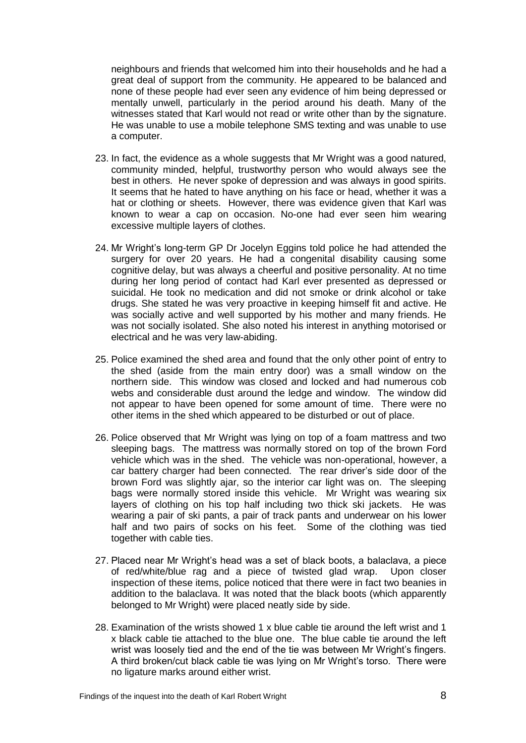neighbours and friends that welcomed him into their households and he had a great deal of support from the community. He appeared to be balanced and none of these people had ever seen any evidence of him being depressed or mentally unwell, particularly in the period around his death. Many of the witnesses stated that Karl would not read or write other than by the signature. He was unable to use a mobile telephone SMS texting and was unable to use a computer.

- 23. In fact, the evidence as a whole suggests that Mr Wright was a good natured, community minded, helpful, trustworthy person who would always see the best in others. He never spoke of depression and was always in good spirits. It seems that he hated to have anything on his face or head, whether it was a hat or clothing or sheets. However, there was evidence given that Karl was known to wear a cap on occasion. No-one had ever seen him wearing excessive multiple layers of clothes.
- 24. Mr Wright's long-term GP Dr Jocelyn Eggins told police he had attended the surgery for over 20 years. He had a congenital disability causing some cognitive delay, but was always a cheerful and positive personality. At no time during her long period of contact had Karl ever presented as depressed or suicidal. He took no medication and did not smoke or drink alcohol or take drugs. She stated he was very proactive in keeping himself fit and active. He was socially active and well supported by his mother and many friends. He was not socially isolated. She also noted his interest in anything motorised or electrical and he was very law-abiding.
- 25. Police examined the shed area and found that the only other point of entry to the shed (aside from the main entry door) was a small window on the northern side. This window was closed and locked and had numerous cob webs and considerable dust around the ledge and window. The window did not appear to have been opened for some amount of time. There were no other items in the shed which appeared to be disturbed or out of place.
- 26. Police observed that Mr Wright was lying on top of a foam mattress and two sleeping bags. The mattress was normally stored on top of the brown Ford vehicle which was in the shed. The vehicle was non-operational, however, a car battery charger had been connected. The rear driver's side door of the brown Ford was slightly ajar, so the interior car light was on. The sleeping bags were normally stored inside this vehicle. Mr Wright was wearing six layers of clothing on his top half including two thick ski jackets. He was wearing a pair of ski pants, a pair of track pants and underwear on his lower half and two pairs of socks on his feet. Some of the clothing was tied together with cable ties.
- 27. Placed near Mr Wright's head was a set of black boots, a balaclava, a piece of red/white/blue rag and a piece of twisted glad wrap. Upon closer inspection of these items, police noticed that there were in fact two beanies in addition to the balaclava. It was noted that the black boots (which apparently belonged to Mr Wright) were placed neatly side by side.
- 28. Examination of the wrists showed 1 x blue cable tie around the left wrist and 1 x black cable tie attached to the blue one. The blue cable tie around the left wrist was loosely tied and the end of the tie was between Mr Wright's fingers. A third broken/cut black cable tie was lying on Mr Wright's torso. There were no ligature marks around either wrist.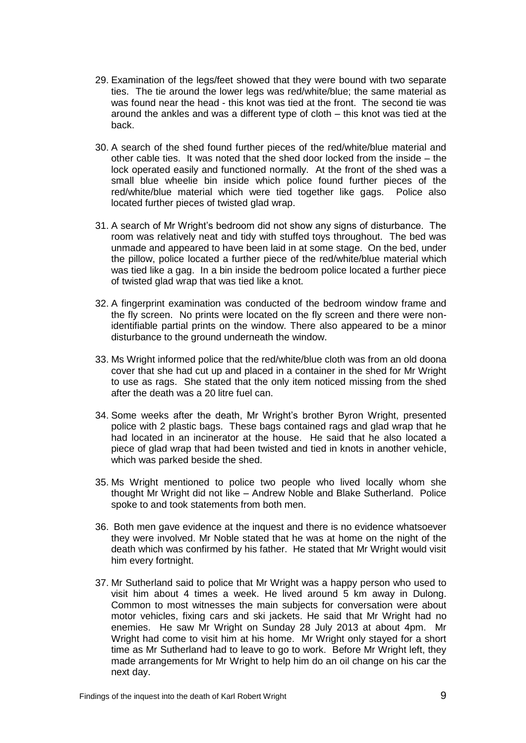- 29. Examination of the legs/feet showed that they were bound with two separate ties. The tie around the lower legs was red/white/blue; the same material as was found near the head - this knot was tied at the front. The second tie was around the ankles and was a different type of cloth – this knot was tied at the back.
- 30. A search of the shed found further pieces of the red/white/blue material and other cable ties. It was noted that the shed door locked from the inside – the lock operated easily and functioned normally. At the front of the shed was a small blue wheelie bin inside which police found further pieces of the red/white/blue material which were tied together like gags. Police also located further pieces of twisted glad wrap.
- 31. A search of Mr Wright's bedroom did not show any signs of disturbance. The room was relatively neat and tidy with stuffed toys throughout. The bed was unmade and appeared to have been laid in at some stage. On the bed, under the pillow, police located a further piece of the red/white/blue material which was tied like a gag. In a bin inside the bedroom police located a further piece of twisted glad wrap that was tied like a knot.
- 32. A fingerprint examination was conducted of the bedroom window frame and the fly screen. No prints were located on the fly screen and there were nonidentifiable partial prints on the window. There also appeared to be a minor disturbance to the ground underneath the window.
- 33. Ms Wright informed police that the red/white/blue cloth was from an old doona cover that she had cut up and placed in a container in the shed for Mr Wright to use as rags. She stated that the only item noticed missing from the shed after the death was a 20 litre fuel can.
- 34. Some weeks after the death, Mr Wright's brother Byron Wright, presented police with 2 plastic bags. These bags contained rags and glad wrap that he had located in an incinerator at the house. He said that he also located a piece of glad wrap that had been twisted and tied in knots in another vehicle, which was parked beside the shed.
- 35. Ms Wright mentioned to police two people who lived locally whom she thought Mr Wright did not like – Andrew Noble and Blake Sutherland. Police spoke to and took statements from both men.
- 36. Both men gave evidence at the inquest and there is no evidence whatsoever they were involved. Mr Noble stated that he was at home on the night of the death which was confirmed by his father. He stated that Mr Wright would visit him every fortnight.
- 37. Mr Sutherland said to police that Mr Wright was a happy person who used to visit him about 4 times a week. He lived around 5 km away in Dulong. Common to most witnesses the main subjects for conversation were about motor vehicles, fixing cars and ski jackets. He said that Mr Wright had no enemies. He saw Mr Wright on Sunday 28 July 2013 at about 4pm. Mr Wright had come to visit him at his home. Mr Wright only stayed for a short time as Mr Sutherland had to leave to go to work. Before Mr Wright left, they made arrangements for Mr Wright to help him do an oil change on his car the next day.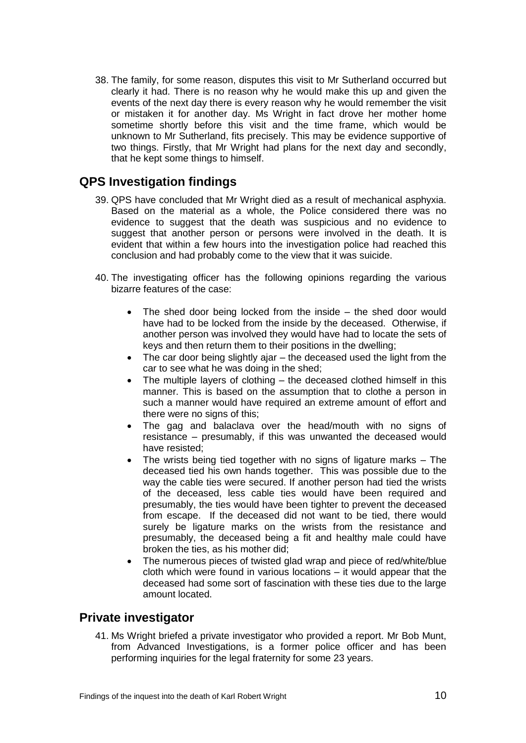38. The family, for some reason, disputes this visit to Mr Sutherland occurred but clearly it had. There is no reason why he would make this up and given the events of the next day there is every reason why he would remember the visit or mistaken it for another day. Ms Wright in fact drove her mother home sometime shortly before this visit and the time frame, which would be unknown to Mr Sutherland, fits precisely. This may be evidence supportive of two things. Firstly, that Mr Wright had plans for the next day and secondly, that he kept some things to himself.

### <span id="page-10-0"></span>**QPS Investigation findings**

- 39. QPS have concluded that Mr Wright died as a result of mechanical asphyxia. Based on the material as a whole, the Police considered there was no evidence to suggest that the death was suspicious and no evidence to suggest that another person or persons were involved in the death. It is evident that within a few hours into the investigation police had reached this conclusion and had probably come to the view that it was suicide.
- 40. The investigating officer has the following opinions regarding the various bizarre features of the case:
	- The shed door being locked from the inside the shed door would have had to be locked from the inside by the deceased. Otherwise, if another person was involved they would have had to locate the sets of keys and then return them to their positions in the dwelling;
	- The car door being slightly ajar the deceased used the light from the car to see what he was doing in the shed;
	- The multiple layers of clothing the deceased clothed himself in this manner. This is based on the assumption that to clothe a person in such a manner would have required an extreme amount of effort and there were no signs of this;
	- The gag and balaclava over the head/mouth with no signs of resistance – presumably, if this was unwanted the deceased would have resisted;
	- The wrists being tied together with no signs of ligature marks The deceased tied his own hands together. This was possible due to the way the cable ties were secured. If another person had tied the wrists of the deceased, less cable ties would have been required and presumably, the ties would have been tighter to prevent the deceased from escape. If the deceased did not want to be tied, there would surely be ligature marks on the wrists from the resistance and presumably, the deceased being a fit and healthy male could have broken the ties, as his mother did;
	- The numerous pieces of twisted glad wrap and piece of red/white/blue cloth which were found in various locations – it would appear that the deceased had some sort of fascination with these ties due to the large amount located.

#### <span id="page-10-1"></span>**Private investigator**

41. Ms Wright briefed a private investigator who provided a report. Mr Bob Munt, from Advanced Investigations, is a former police officer and has been performing inquiries for the legal fraternity for some 23 years.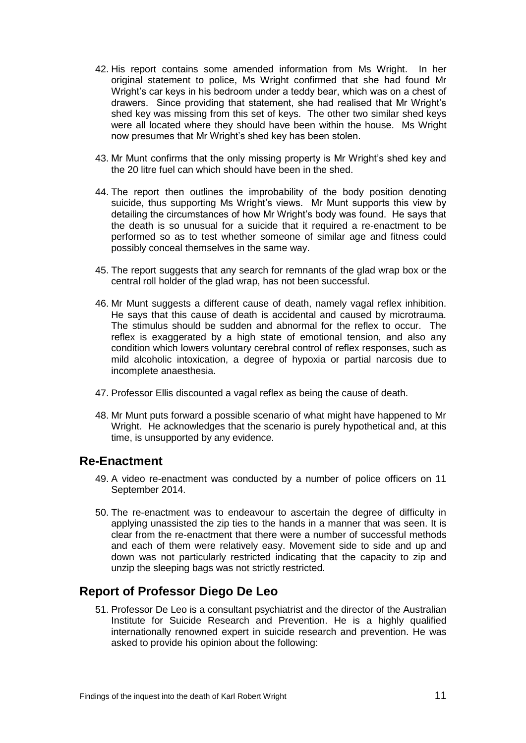- 42. His report contains some amended information from Ms Wright. In her original statement to police, Ms Wright confirmed that she had found Mr Wright's car keys in his bedroom under a teddy bear, which was on a chest of drawers. Since providing that statement, she had realised that Mr Wright's shed key was missing from this set of keys. The other two similar shed keys were all located where they should have been within the house. Ms Wright now presumes that Mr Wright's shed key has been stolen.
- 43. Mr Munt confirms that the only missing property is Mr Wright's shed key and the 20 litre fuel can which should have been in the shed.
- 44. The report then outlines the improbability of the body position denoting suicide, thus supporting Ms Wright's views. Mr Munt supports this view by detailing the circumstances of how Mr Wright's body was found. He says that the death is so unusual for a suicide that it required a re-enactment to be performed so as to test whether someone of similar age and fitness could possibly conceal themselves in the same way.
- 45. The report suggests that any search for remnants of the glad wrap box or the central roll holder of the glad wrap, has not been successful.
- 46. Mr Munt suggests a different cause of death, namely vagal reflex inhibition. He says that this cause of death is accidental and caused by microtrauma. The stimulus should be sudden and abnormal for the reflex to occur. The reflex is exaggerated by a high state of emotional tension, and also any condition which lowers voluntary cerebral control of reflex responses, such as mild alcoholic intoxication, a degree of hypoxia or partial narcosis due to incomplete anaesthesia.
- 47. Professor Ellis discounted a vagal reflex as being the cause of death.
- 48. Mr Munt puts forward a possible scenario of what might have happened to Mr Wright. He acknowledges that the scenario is purely hypothetical and, at this time, is unsupported by any evidence.

#### <span id="page-11-0"></span>**Re-Enactment**

- 49. A video re-enactment was conducted by a number of police officers on 11 September 2014.
- 50. The re-enactment was to endeavour to ascertain the degree of difficulty in applying unassisted the zip ties to the hands in a manner that was seen. It is clear from the re-enactment that there were a number of successful methods and each of them were relatively easy. Movement side to side and up and down was not particularly restricted indicating that the capacity to zip and unzip the sleeping bags was not strictly restricted.

#### <span id="page-11-1"></span>**Report of Professor Diego De Leo**

51. Professor De Leo is a consultant psychiatrist and the director of the Australian Institute for Suicide Research and Prevention. He is a highly qualified internationally renowned expert in suicide research and prevention. He was asked to provide his opinion about the following: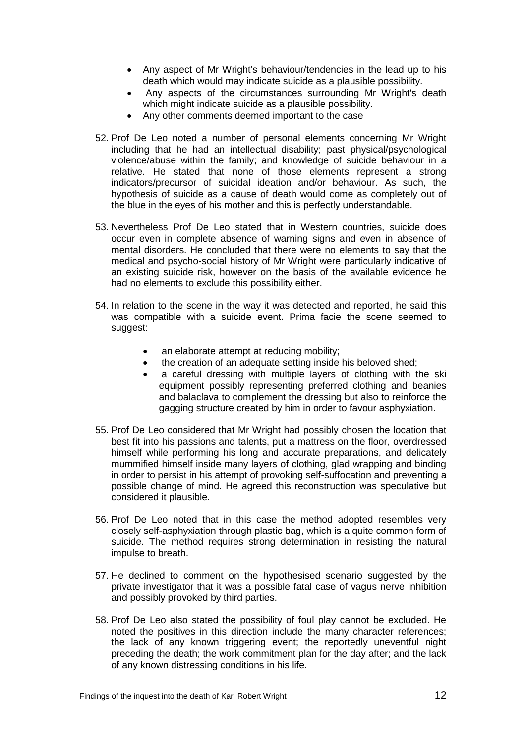- Any aspect of Mr Wright's behaviour/tendencies in the lead up to his death which would may indicate suicide as a plausible possibility.
- Any aspects of the circumstances surrounding Mr Wright's death which might indicate suicide as a plausible possibility.
- Any other comments deemed important to the case
- 52. Prof De Leo noted a number of personal elements concerning Mr Wright including that he had an intellectual disability; past physical/psychological violence/abuse within the family; and knowledge of suicide behaviour in a relative. He stated that none of those elements represent a strong indicators/precursor of suicidal ideation and/or behaviour. As such, the hypothesis of suicide as a cause of death would come as completely out of the blue in the eyes of his mother and this is perfectly understandable.
- 53. Nevertheless Prof De Leo stated that in Western countries, suicide does occur even in complete absence of warning signs and even in absence of mental disorders. He concluded that there were no elements to say that the medical and psycho-social history of Mr Wright were particularly indicative of an existing suicide risk, however on the basis of the available evidence he had no elements to exclude this possibility either.
- 54. In relation to the scene in the way it was detected and reported, he said this was compatible with a suicide event. Prima facie the scene seemed to suggest:
	- an elaborate attempt at reducing mobility;
	- the creation of an adequate setting inside his beloved shed;
	- a careful dressing with multiple layers of clothing with the ski equipment possibly representing preferred clothing and beanies and balaclava to complement the dressing but also to reinforce the gagging structure created by him in order to favour asphyxiation.
- 55. Prof De Leo considered that Mr Wright had possibly chosen the location that best fit into his passions and talents, put a mattress on the floor, overdressed himself while performing his long and accurate preparations, and delicately mummified himself inside many layers of clothing, glad wrapping and binding in order to persist in his attempt of provoking self-suffocation and preventing a possible change of mind. He agreed this reconstruction was speculative but considered it plausible.
- 56. Prof De Leo noted that in this case the method adopted resembles very closely self-asphyxiation through plastic bag, which is a quite common form of suicide. The method requires strong determination in resisting the natural impulse to breath.
- 57. He declined to comment on the hypothesised scenario suggested by the private investigator that it was a possible fatal case of vagus nerve inhibition and possibly provoked by third parties.
- 58. Prof De Leo also stated the possibility of foul play cannot be excluded. He noted the positives in this direction include the many character references; the lack of any known triggering event; the reportedly uneventful night preceding the death; the work commitment plan for the day after; and the lack of any known distressing conditions in his life.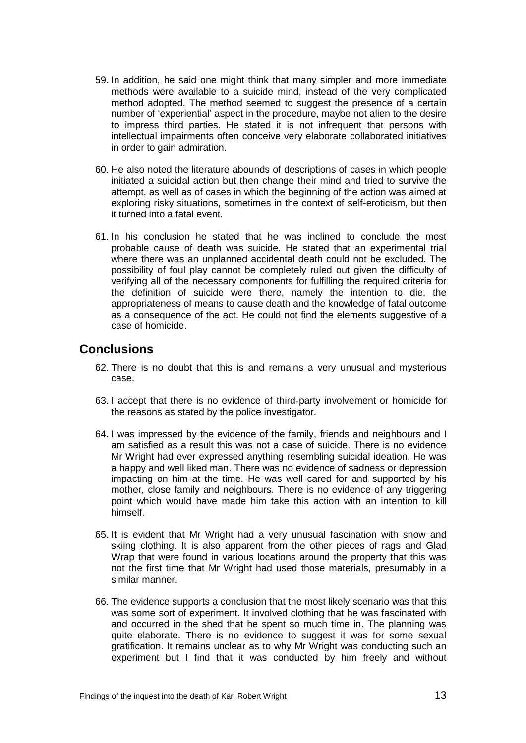- 59. In addition, he said one might think that many simpler and more immediate methods were available to a suicide mind, instead of the very complicated method adopted. The method seemed to suggest the presence of a certain number of 'experiential' aspect in the procedure, maybe not alien to the desire to impress third parties. He stated it is not infrequent that persons with intellectual impairments often conceive very elaborate collaborated initiatives in order to gain admiration.
- 60. He also noted the literature abounds of descriptions of cases in which people initiated a suicidal action but then change their mind and tried to survive the attempt, as well as of cases in which the beginning of the action was aimed at exploring risky situations, sometimes in the context of self-eroticism, but then it turned into a fatal event.
- 61. In his conclusion he stated that he was inclined to conclude the most probable cause of death was suicide. He stated that an experimental trial where there was an unplanned accidental death could not be excluded. The possibility of foul play cannot be completely ruled out given the difficulty of verifying all of the necessary components for fulfilling the required criteria for the definition of suicide were there, namely the intention to die, the appropriateness of means to cause death and the knowledge of fatal outcome as a consequence of the act. He could not find the elements suggestive of a case of homicide.

#### <span id="page-13-0"></span>**Conclusions**

- 62. There is no doubt that this is and remains a very unusual and mysterious case.
- 63. I accept that there is no evidence of third-party involvement or homicide for the reasons as stated by the police investigator.
- 64. I was impressed by the evidence of the family, friends and neighbours and I am satisfied as a result this was not a case of suicide. There is no evidence Mr Wright had ever expressed anything resembling suicidal ideation. He was a happy and well liked man. There was no evidence of sadness or depression impacting on him at the time. He was well cared for and supported by his mother, close family and neighbours. There is no evidence of any triggering point which would have made him take this action with an intention to kill himself.
- 65. It is evident that Mr Wright had a very unusual fascination with snow and skiing clothing. It is also apparent from the other pieces of rags and Glad Wrap that were found in various locations around the property that this was not the first time that Mr Wright had used those materials, presumably in a similar manner.
- 66. The evidence supports a conclusion that the most likely scenario was that this was some sort of experiment. It involved clothing that he was fascinated with and occurred in the shed that he spent so much time in. The planning was quite elaborate. There is no evidence to suggest it was for some sexual gratification. It remains unclear as to why Mr Wright was conducting such an experiment but I find that it was conducted by him freely and without